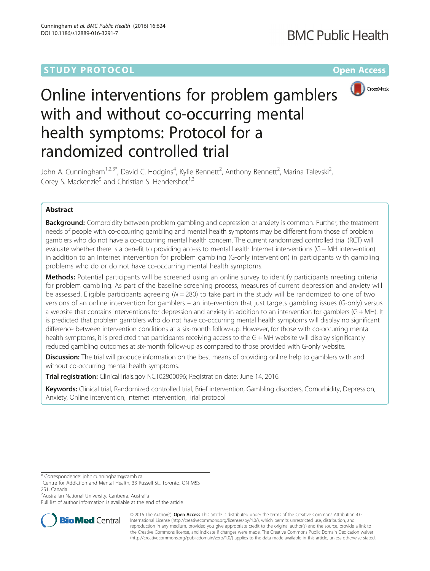# **STUDY PROTOCOL CONSUMING THE CONSUMING OPEN ACCESS**



# Online interventions for problem gamblers with and without co-occurring mental health symptoms: Protocol for a randomized controlled trial

John A. Cunningham<sup>1,2,3\*</sup>, David C. Hodgins<sup>4</sup>, Kylie Bennett<sup>2</sup>, Anthony Bennett<sup>2</sup>, Marina Talevski<sup>2</sup> , Corey S. Mackenzie<sup>5</sup> and Christian S. Hendershot<sup>1,3</sup>

# Abstract

Background: Comorbidity between problem gambling and depression or anxiety is common. Further, the treatment needs of people with co-occurring gambling and mental health symptoms may be different from those of problem gamblers who do not have a co-occurring mental health concern. The current randomized controlled trial (RCT) will evaluate whether there is a benefit to providing access to mental health Internet interventions (G + MH intervention) in addition to an Internet intervention for problem gambling (G-only intervention) in participants with gambling problems who do or do not have co-occurring mental health symptoms.

Methods: Potential participants will be screened using an online survey to identify participants meeting criteria for problem gambling. As part of the baseline screening process, measures of current depression and anxiety will be assessed. Eligible participants agreeing ( $N = 280$ ) to take part in the study will be randomized to one of two versions of an online intervention for gamblers – an intervention that just targets gambling issues (G-only) versus a website that contains interventions for depression and anxiety in addition to an intervention for gamblers (G + MH). It is predicted that problem gamblers who do not have co-occurring mental health symptoms will display no significant difference between intervention conditions at a six-month follow-up. However, for those with co-occurring mental health symptoms, it is predicted that participants receiving access to the G + MH website will display significantly reduced gambling outcomes at six-month follow-up as compared to those provided with G-only website.

**Discussion:** The trial will produce information on the best means of providing online help to gamblers with and without co-occurring mental health symptoms.

Trial registration: ClinicalTrials.gov [NCT02800096;](https://clinicaltrials.gov/ct2/show/results/NCT02800096) Registration date: June 14, 2016.

Keywords: Clinical trial, Randomized controlled trial, Brief intervention, Gambling disorders, Comorbidity, Depression, Anxiety, Online intervention, Internet intervention, Trial protocol

\* Correspondence: [john.cunningham@camh.ca](mailto:john.cunningham@camh.ca) <sup>1</sup>

2 Australian National University, Canberra, Australia

Full list of author information is available at the end of the article



© 2016 The Author(s). Open Access This article is distributed under the terms of the Creative Commons Attribution 4.0 International License [\(http://creativecommons.org/licenses/by/4.0/](http://creativecommons.org/licenses/by/4.0/)), which permits unrestricted use, distribution, and reproduction in any medium, provided you give appropriate credit to the original author(s) and the source, provide a link to the Creative Commons license, and indicate if changes were made. The Creative Commons Public Domain Dedication waiver [\(http://creativecommons.org/publicdomain/zero/1.0/](http://creativecommons.org/publicdomain/zero/1.0/)) applies to the data made available in this article, unless otherwise stated.

<sup>&</sup>lt;sup>1</sup>Centre for Addiction and Mental Health, 33 Russell St., Toronto, ON M5S 2S1, Canada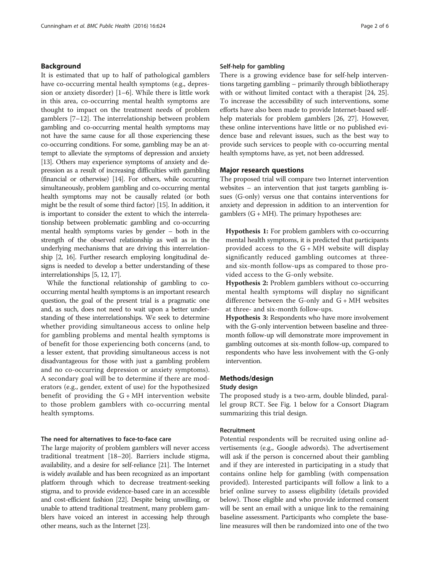# Background

It is estimated that up to half of pathological gamblers have co-occurring mental health symptoms (e.g., depression or anxiety disorder) [[1](#page-4-0)–[6](#page-4-0)]. While there is little work in this area, co-occurring mental health symptoms are thought to impact on the treatment needs of problem gamblers [[7](#page-4-0)–[12\]](#page-4-0). The interrelationship between problem gambling and co-occurring mental health symptoms may not have the same cause for all those experiencing these co-occurring conditions. For some, gambling may be an attempt to alleviate the symptoms of depression and anxiety [[13](#page-4-0)]. Others may experience symptoms of anxiety and depression as a result of increasing difficulties with gambling (financial or otherwise) [[14](#page-4-0)]. For others, while occurring simultaneously, problem gambling and co-occurring mental health symptoms may not be causally related (or both might be the result of some third factor) [\[15\]](#page-4-0). In addition, it is important to consider the extent to which the interrelationship between problematic gambling and co-occurring mental health symptoms varies by gender – both in the strength of the observed relationship as well as in the underlying mechanisms that are driving this interrelationship [\[2](#page-4-0), [16\]](#page-4-0). Further research employing longitudinal designs is needed to develop a better understanding of these interrelationships [\[5, 12, 17\]](#page-4-0).

While the functional relationship of gambling to cooccurring mental health symptoms is an important research question, the goal of the present trial is a pragmatic one and, as such, does not need to wait upon a better understanding of these interrelationships. We seek to determine whether providing simultaneous access to online help for gambling problems and mental health symptoms is of benefit for those experiencing both concerns (and, to a lesser extent, that providing simultaneous access is not disadvantageous for those with just a gambling problem and no co-occurring depression or anxiety symptoms). A secondary goal will be to determine if there are moderators (e.g., gender, extent of use) for the hypothesized benefit of providing the  $G + MH$  intervention website to those problem gamblers with co-occurring mental health symptoms.

# The need for alternatives to face-to-face care

The large majority of problem gamblers will never access traditional treatment [[18](#page-4-0)–[20](#page-4-0)]. Barriers include stigma, availability, and a desire for self-reliance [\[21\]](#page-5-0). The Internet is widely available and has been recognized as an important platform through which to decrease treatment-seeking stigma, and to provide evidence-based care in an accessible and cost-efficient fashion [[22\]](#page-5-0). Despite being unwilling, or unable to attend traditional treatment, many problem gamblers have voiced an interest in accessing help through other means, such as the Internet [\[23\]](#page-5-0).

# Self-help for gambling

There is a growing evidence base for self-help interventions targeting gambling – primarily through bibliotherapy with or without limited contact with a therapist [\[24, 25](#page-5-0)]. To increase the accessibility of such interventions, some efforts have also been made to provide Internet-based selfhelp materials for problem gamblers [\[26](#page-5-0), [27](#page-5-0)]. However, these online interventions have little or no published evidence base and relevant issues, such as the best way to provide such services to people with co-occurring mental health symptoms have, as yet, not been addressed.

#### Major research questions

The proposed trial will compare two Internet intervention websites – an intervention that just targets gambling issues (G-only) versus one that contains interventions for anxiety and depression in addition to an intervention for gamblers  $(G + MH)$ . The primary hypotheses are:

Hypothesis 1: For problem gamblers with co-occurring mental health symptoms, it is predicted that participants provided access to the  $G + MH$  website will display significantly reduced gambling outcomes at threeand six-month follow-ups as compared to those provided access to the G-only website.

Hypothesis 2: Problem gamblers without co-occurring mental health symptoms will display no significant difference between the G-only and  $G + MH$  websites at three- and six-month follow-ups.

Hypothesis 3: Respondents who have more involvement with the G-only intervention between baseline and threemonth follow-up will demonstrate more improvement in gambling outcomes at six-month follow-up, compared to respondents who have less involvement with the G-only intervention.

# Methods/design

# Study design

The proposed study is a two-arm, double blinded, parallel group RCT. See Fig. [1](#page-2-0) below for a Consort Diagram summarizing this trial design.

# Recruitment

Potential respondents will be recruited using online advertisements (e.g., Google adwords). The advertisement will ask if the person is concerned about their gambling and if they are interested in participating in a study that contains online help for gambling (with compensation provided). Interested participants will follow a link to a brief online survey to assess eligibility (details provided below). Those eligible and who provide informed consent will be sent an email with a unique link to the remaining baseline assessment. Participants who complete the baseline measures will then be randomized into one of the two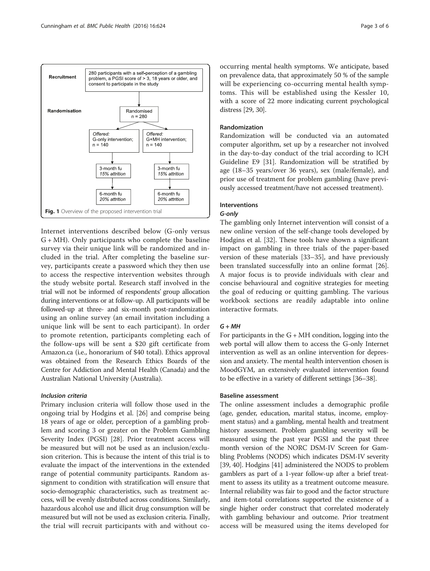<span id="page-2-0"></span>

Internet interventions described below (G-only versus  $G + MH$ ). Only participants who complete the baseline survey via their unique link will be randomized and included in the trial. After completing the baseline survey, participants create a password which they then use to access the respective intervention websites through the study website portal. Research staff involved in the trial will not be informed of respondents' group allocation during interventions or at follow-up. All participants will be followed-up at three- and six-month post-randomization using an online survey (an email invitation including a unique link will be sent to each participant). In order to promote retention, participants completing each of the follow-ups will be sent a \$20 gift certificate from Amazon.ca (i.e., honorarium of \$40 total). Ethics approval was obtained from the Research Ethics Boards of the Centre for Addiction and Mental Health (Canada) and the Australian National University (Australia).

### Inclusion criteria

Primary inclusion criteria will follow those used in the ongoing trial by Hodgins et al. [[26\]](#page-5-0) and comprise being 18 years of age or older, perception of a gambling problem and scoring 3 or greater on the Problem Gambling Severity Index (PGSI) [[28](#page-5-0)]. Prior treatment access will be measured but will not be used as an inclusion/exclusion criterion. This is because the intent of this trial is to evaluate the impact of the interventions in the extended range of potential community participants. Random assignment to condition with stratification will ensure that socio-demographic characteristics, such as treatment access, will be evenly distributed across conditions. Similarly, hazardous alcohol use and illicit drug consumption will be measured but will not be used as exclusion criteria. Finally, the trial will recruit participants with and without cooccurring mental health symptoms. We anticipate, based on prevalence data, that approximately 50 % of the sample will be experiencing co-occurring mental health symptoms. This will be established using the Kessler 10, with a score of 22 more indicating current psychological distress [\[29, 30\]](#page-5-0).

# Randomization

Randomization will be conducted via an automated computer algorithm, set up by a researcher not involved in the day-to-day conduct of the trial according to ICH Guideline E9 [[31\]](#page-5-0). Randomization will be stratified by age (18–35 years/over 36 years), sex (male/female), and prior use of treatment for problem gambling (have previously accessed treatment/have not accessed treatment).

# Interventions

# G-only

The gambling only Internet intervention will consist of a new online version of the self-change tools developed by Hodgins et al. [[32](#page-5-0)]. These tools have shown a significant impact on gambling in three trials of the paper-based version of these materials [\[33](#page-5-0)–[35\]](#page-5-0), and have previously been translated successfully into an online format [\[26](#page-5-0)]. A major focus is to provide individuals with clear and concise behavioural and cognitive strategies for meeting the goal of reducing or quitting gambling. The various workbook sections are readily adaptable into online interactive formats.

# $G + MH$

For participants in the  $G + MH$  condition, logging into the web portal will allow them to access the G-only Internet intervention as well as an online intervention for depression and anxiety. The mental health intervention chosen is MoodGYM, an extensively evaluated intervention found to be effective in a variety of different settings [[36](#page-5-0)–[38\]](#page-5-0).

# Baseline assessment

The online assessment includes a demographic profile (age, gender, education, marital status, income, employment status) and a gambling, mental health and treatment history assessment. Problem gambling severity will be measured using the past year PGSI and the past three month version of the NORC DSM-IV Screen for Gambling Problems (NODS) which indicates DSM-IV severity [[39](#page-5-0), [40\]](#page-5-0). Hodgins [\[41\]](#page-5-0) administered the NODS to problem gamblers as part of a 1-year follow-up after a brief treatment to assess its utility as a treatment outcome measure. Internal reliability was fair to good and the factor structure and item-total correlations supported the existence of a single higher order construct that correlated moderately with gambling behaviour and outcome. Prior treatment access will be measured using the items developed for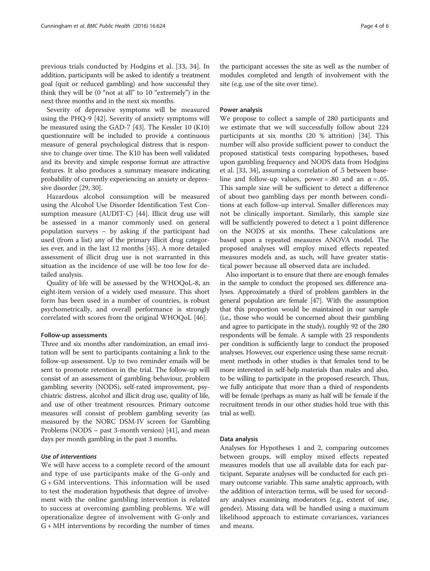previous trials conducted by Hodgins et al. [[33, 34\]](#page-5-0). In addition, participants will be asked to identify a treatment goal (quit or reduced gambling) and how successful they think they will be (0 "not at all" to 10 "extremely") in the next three months and in the next six months.

Severity of depressive symptoms will be measured using the PHQ-9 [[42](#page-5-0)]. Severity of anxiety symptoms will be measured using the GAD-7 [[43](#page-5-0)]. The Kessler 10 (K10) questionnaire will be included to provide a continuous measure of general psychological distress that is responsive to change over time. The K10 has been well validated and its brevity and simple response format are attractive features. It also produces a summary measure indicating probability of currently experiencing an anxiety or depressive disorder [[29](#page-5-0), [30\]](#page-5-0).

Hazardous alcohol consumption will be measured using the Alcohol Use Disorder Identification Test Consumption measure (AUDIT-C) [[44](#page-5-0)]. Illicit drug use will be assessed in a manor commonly used on general population surveys – by asking if the participant had used (from a list) any of the primary illicit drug categories ever, and in the last 12 months [[45](#page-5-0)]. A more detailed assessment of illicit drug use is not warranted in this situation as the incidence of use will be too low for detailed analysis.

Quality of life will be assessed by the WHOQoL-8, an eight-item version of a widely used measure. This short form has been used in a number of countries, is robust psychometrically, and overall performance is strongly correlated with scores from the original WHOQoL [[46](#page-5-0)].

#### Follow-up assessments

Three and six months after randomization, an email invitation will be sent to participants containing a link to the follow-up assessment. Up to two reminder emails will be sent to promote retention in the trial. The follow-up will consist of an assessment of gambling behaviour, problem gambling severity (NODS), self-rated improvement, psychiatric distress, alcohol and illicit drug use, quality of life, and use of other treatment resources. Primary outcome measures will consist of problem gambling severity (as measured by the NORC DSM-IV screen for Gambling Problems (NODS – past 3-month version) [\[41\]](#page-5-0), and mean days per month gambling in the past 3 months.

# Use of interventions

We will have access to a complete record of the amount and type of use participants make of the G-only and G + GM interventions. This information will be used to test the moderation hypothesis that degree of involvement with the online gambling intervention is related to success at overcoming gambling problems. We will operationalize degree of involvement with G-only and G + MH interventions by recording the number of times

the participant accesses the site as well as the number of modules completed and length of involvement with the site (e.g. use of the site over time).

## Power analysis

We propose to collect a sample of 280 participants and we estimate that we will successfully follow about 224 participants at six months (20 % attrition) [[34\]](#page-5-0). This number will also provide sufficient power to conduct the proposed statistical tests comparing hypotheses, based upon gambling frequency and NODS data from Hodgins et al. [[33](#page-5-0), [34](#page-5-0)], assuming a correlation of .5 between baseline and follow-up values, power = .80 and an  $\alpha$  = .05. This sample size will be sufficient to detect a difference of about two gambling days per month between conditions at each follow-up interval. Smaller differences may not be clinically important. Similarly, this sample size will be sufficiently powered to detect a 1 point difference on the NODS at six months. These calculations are based upon a repeated measures ANOVA model. The proposed analyses will employ mixed effects repeated measures models and, as such, will have greater statistical power because all observed data are included.

Also important is to ensure that there are enough females in the sample to conduct the proposed sex difference analyses. Approximately a third of problem gamblers in the general population are female [\[47\]](#page-5-0). With the assumption that this proportion would be maintained in our sample (i.e., those who would be concerned about their gambling and agree to participate in the study), roughly 92 of the 280 respondents will be female. A sample with 23 respondents per condition is sufficiently large to conduct the proposed analyses. However, our experience using these same recruitment methods in other studies is that females tend to be more interested in self-help materials than males and also, to be willing to participate in the proposed research. Thus, we fully anticipate that more than a third of respondents will be female (perhaps as many as half will be female if the recruitment trends in our other studies hold true with this trial as well).

#### Data analysis

Analyses for Hypotheses 1 and 2, comparing outcomes between groups, will employ mixed effects repeated measures models that use all available data for each participant. Separate analyses will be conducted for each primary outcome variable. This same analytic approach, with the addition of interaction terms, will be used for secondary analyses examining moderators (e.g., extent of use, gender). Missing data will be handled using a maximum likelihood approach to estimate covariances, variances and means.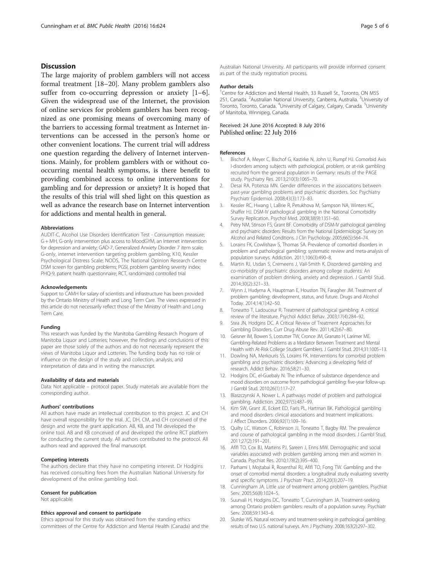# <span id="page-4-0"></span>**Discussion**

The large majority of problem gamblers will not access formal treatment [18–20]. Many problem gamblers also suffer from co-occurring depression or anxiety [1–6]. Given the widespread use of the Internet, the provision of online services for problem gamblers has been recognized as one promising means of overcoming many of the barriers to accessing formal treatment as Internet interventions can be accessed in the person's home or other convenient locations. The current trial will address one question regarding the delivery of Internet interventions. Mainly, for problem gamblers with or without cooccurring mental health symptoms, is there benefit to providing combined access to online interventions for gambling and for depression or anxiety? It is hoped that the results of this trial will shed light on this question as well as advance the research base on Internet intervention for addictions and mental health in general.

#### Abbreviations

AUDIT-C, Alcohol Use Disorders Identification Test - Consumption measure; G + MH, G-only intervention plus access to MoodGYM, an Internet intervention for depression and anxiety; GAD-7, Generalized Anxiety Disorder 7 item scale; G-only, internet intervention targeting problem gambling; K10, Kessler Psychological Distress Scale; NODS, The National Opinion Research Centre DSM screen for gambling problems; PGSI, problem gambling severity index; PHQ-9, patient health questionnaire; RCT, randomized controlled trial

#### Acknowledgements

Support to CAMH for salary of scientists and infrastructure has been provided by the Ontario Ministry of Health and Long Term Care. The views expressed in this article do not necessarily reflect those of the Ministry of Health and Long Term Care.

#### Funding

This research was funded by the Manitoba Gambling Research Program of Manitoba Liquor and Lotteries; however, the findings and conclusions of this paper are those solely of the authors and do not necessarily represent the views of Manitoba Liquor and Lotteries. The funding body has no role or influence on the design of the study and collection, analysis, and interpretation of data and in writing the manuscript.

#### Availability of data and materials

Data: Not applicable – protocol paper. Study materials are available from the corresponding author.

#### Authors' contributions

All authors have made an intellectual contribution to this project. JC and CH have overall responsibility for the trial. JC, DH, CM, and CH conceived of the design and wrote the grant application. AB, KB, and TM developed the online tool. AB and KB conceived of and developed the online RCT platform for conducting the current study. All authors contributed to the protocol. All authors read and approved the final manuscript.

#### Competing interests

The authors declare that they have no competing interest. Dr Hodgins has received consulting fees from the Australian National University for development of the online gambling tool.

#### Consent for publication

Not applicable.

#### Ethics approval and consent to participate

Ethics approval for this study was obtained from the standing ethics committees of the Centre for Addiction and Mental Health (Canada) and the

Australian National University. All participants will provide informed consent as part of the study registration process.

#### Author details

<sup>1</sup> Centre for Addiction and Mental Health, 33 Russell St., Toronto, ON M5S 2S1, Canada. <sup>2</sup>Australian National University, Canberra, Australia. <sup>3</sup>University of Toronto, Toronto, Canada. <sup>4</sup>University of Calgary, Calgary, Canada. <sup>5</sup>University of Manitoba, Winnipeg, Canada.

## Received: 24 June 2016 Accepted: 8 July 2016 Published online: 22 July 2016

#### References

- 1. Bischof A, Meyer C, Bischof G, Kastirke N, John U, Rumpf HJ. Comorbid Axis I-disorders among subjects with pathological, problem, or at-risk gambling recruited from the general population in Germany: results of the PAGE study. Psychiatry Res. 2013;210(3):1065–70.
- 2. Desai RA, Potenza MN. Gender differences in the associations between past-year gambling problems and psychiatric disorders. Soc Psychiatry Psychiatr Epidemiol. 2008;43(3):173–83.
- 3. Kessler RC, Hwang I, LaBrie R, Petukhova M, Sampson NA, Winters KC, Shaffer HJ. DSM-IV pathological gambling in the National Comorbidity Survey Replication. Psychol Med. 2008;38(9):1351–60.
- 4. Petry NM, Stinson FS, Grant BF. Comorbidity of DSM-IV pathological gambling and psychiatric disorders: Results from the National Epidemiologic Survey on Alcohol and Related Conditions. J Clin Psychology. 2005;66(5):564–74.
- 5. Lorains FK, Cowlishaw S, Thomas SA. Prevalence of comorbid disorders in problem and pathological gambling: systematic review and meta-analysis of population surveys. Addiction. 2011;106(3):490–8.
- 6. Martin RJ, Usdan S, Cremeens J, Vail-Smith K. Disordered gambling and co-morbidity of psychiatric disorders among college students: An examination of problem drinking, anxiety and depression. J Gambl Stud. 2014;30(2):321–33.
- 7. Wynn J, Hudyma A, Hauptman E, Houston TN, Faragher JM. Treatment of problem gambling: development, status, and future. Drugs and Alcohol Today. 2014;14(1):42–50.
- 8. Toneatto T, Ladouceur R. Treatment of pathological gambling: A critical review of the literature. Psychol Addict Behav. 2003;17(4):284–92.
- 9. Stea JN, Hodgins DC. A Critical Review of Treatment Approaches for Gambling Disorders. Curr Drug Abuse Rev. 2011;4(2):67–80.
- 10. Geisner IM, Bowen S, Lostutter TW, Cronce JM, Granato H, Larimer ME. Gambling-Related Problems as a Mediator Between Treatment and Mental Health with At-Risk College Student Gamblers. J Gambl Stud. 2014;31:1005–13.
- 11. Dowling NA, Merkouris SS, Lorains FK. Interventions for comorbid problem gambling and psychiatric disorders: Advancing a developing field of research. Addict Behav. 2016;58:21–30.
- 12. Hodgins DC, el-Guebaly N. The influence of substance dependence and mood disorders on outcome from pathological gambling: five-year follow-up. J Gambl Stud. 2010;26(1):117–27.
- 13. Blaszczynski A, Nower L. A pathways model of problem and pathological gambling. Addiction. 2002;97(5):487–99.
- 14. Kim SW, Grant JE, Eckert ED, Faris PL, Hartman BK. Pathological gambling and mood disorders: clinical associations and treatment implications. J Affect Disorders. 2006;92(1):109–16.
- 15. Quilty LC, Watson C, Robinson JJ, Toneatto T, Bagby RM. The prevalence and course of pathological gambling in the mood disorders. J Gambl Stud. 2011;27(2):191–201.
- 16. Afifi TO, Cox BJ, Martens PJ, Sareen J, Enns MW. Demographic and social variables associated with problem gambling among men and women in Canada. Psychiat Res. 2010;178(2):395–400.
- 17. Parhami I, Mojtabai R, Rosenthal RJ, Afifi TO, Fong TW. Gambling and the onset of comorbid mental disorders: a longitudinal study evaluating severity and specific symptoms. J Psychiatr Pract. 2014;20(3):207–19.
- 18. Cunningham JA. Little use of treatment among problem gamblers. Psychiat Serv. 2005;56(8):1024–5.
- 19. Suurvali H, Hodgins DC, Toneatto T, Cunningham JA. Treatment-seeking among Ontario problem gamblers: results of a population survey. Psychiatr Serv. 2008;59:1343–6.
- 20. Slutske WS. Natural recovery and treatment-seeking in pathological gambling: results of two U.S. national surveys. Am J Psychiatry. 2006;163(2):297–302.